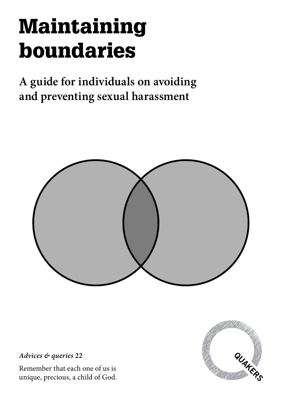# Maintaining boundaries

**A guide for individuals on avoiding and preventing sexual harassment**



*Advices & queries* **22**

Remember that each one of us is unique, precious, a child of God.

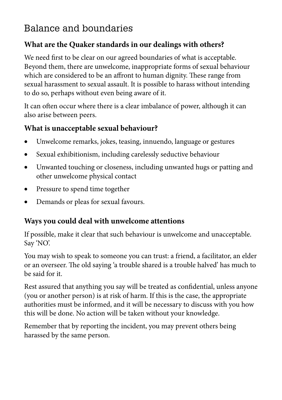# Balance and boundaries

## **What are the Quaker standards in our dealings with others?**

We need first to be clear on our agreed boundaries of what is acceptable. Beyond them, there are unwelcome, inappropriate forms of sexual behaviour which are considered to be an affront to human dignity. These range from sexual harassment to sexual assault. It is possible to harass without intending to do so, perhaps without even being aware of it.

It can often occur where there is a clear imbalance of power, although it can also arise between peers.

#### **What is unacceptable sexual behaviour?**

- Unwelcome remarks, jokes, teasing, innuendo, language or gestures
- Sexual exhibitionism, including carelessly seductive behaviour
- Unwanted touching or closeness, including unwanted hugs or patting and other unwelcome physical contact
- Pressure to spend time together
- Demands or pleas for sexual favours.

# **Ways you could deal with unwelcome attentions**

If possible, make it clear that such behaviour is unwelcome and unacceptable. Say 'NO'.

You may wish to speak to someone you can trust: a friend, a facilitator, an elder or an overseer. The old saying 'a trouble shared is a trouble halved' has much to be said for it.

Rest assured that anything you say will be treated as confidential, unless anyone (you or another person) is at risk of harm. If this is the case, the appropriate authorities must be informed, and it will be necessary to discuss with you how this will be done. No action will be taken without your knowledge.

Remember that by reporting the incident, you may prevent others being harassed by the same person.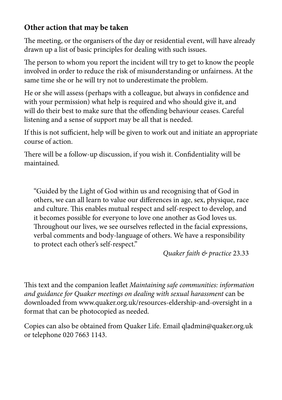## **Other action that may be taken**

The meeting, or the organisers of the day or residential event, will have already drawn up a list of basic principles for dealing with such issues.

The person to whom you report the incident will try to get to know the people involved in order to reduce the risk of misunderstanding or unfairness. At the same time she or he will try not to underestimate the problem.

He or she will assess (perhaps with a colleague, but always in confidence and with your permission) what help is required and who should give it, and will do their best to make sure that the offending behaviour ceases. Careful listening and a sense of support may be all that is needed.

If this is not sufficient, help will be given to work out and initiate an appropriate course of action.

There will be a follow-up discussion, if you wish it. Confidentiality will be maintained.

"Guided by the Light of God within us and recognising that of God in others, we can all learn to value our differences in age, sex, physique, race and culture. This enables mutual respect and self-respect to develop, and it becomes possible for everyone to love one another as God loves us. Throughout our lives, we see ourselves reflected in the facial expressions, verbal comments and body-language of others. We have a responsibility to protect each other's self-respect."

*Quaker faith & practice* 23.33

This text and the companion leaflet *Maintaining safe communities: information and guidance for Quaker meetings on dealing with sexual harassment* can be downloaded from www.quaker.org.uk/resources-eldership-and-oversight in a format that can be photocopied as needed.

Copies can also be obtained from Quaker Life. Email qladmin@quaker.org.uk or telephone 020 7663 1143.